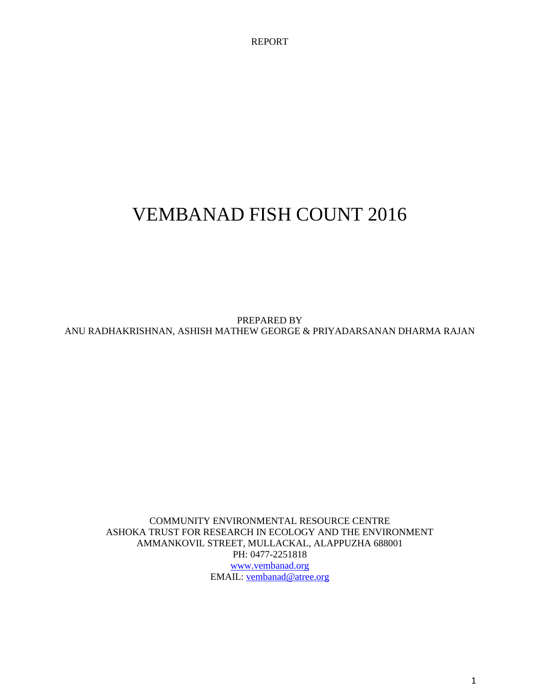REPORT

# VEMBANAD FISH COUNT 2016

PREPARED BY ANU RADHAKRISHNAN, ASHISH MATHEW GEORGE & PRIYADARSANAN DHARMA RAJAN

COMMUNITY ENVIRONMENTAL RESOURCE CENTRE ASHOKA TRUST FOR RESEARCH IN ECOLOGY AND THE ENVIRONMENT AMMANKOVIL STREET, MULLACKAL, ALAPPUZHA 688001 PH: 0477-2251818 [www.vembanad.org](http://www.vembanad.org/) EMAIL: [vembanad@atree.org](mailto:vembanad@atree.org)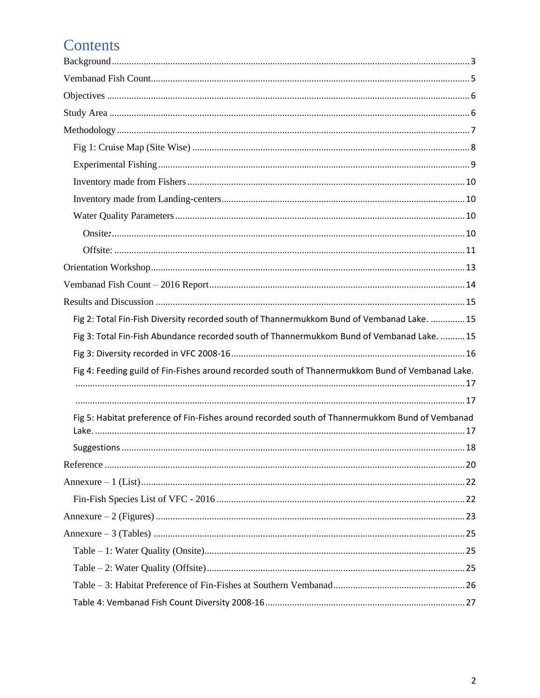# Contents

| Fig 2: Total Fin-Fish Diversity recorded south of Thannermukkom Bund of Vembanad Lake.  15       |  |
|--------------------------------------------------------------------------------------------------|--|
| Fig 3: Total Fin-Fish Abundance recorded south of Thannermukkom Bund of Vembanad Lake.  15       |  |
|                                                                                                  |  |
| Fig 4: Feeding guild of Fin-Fishes around recorded south of Thannermukkom Bund of Vembanad Lake. |  |
|                                                                                                  |  |
|                                                                                                  |  |
| Fig 5: Habitat preference of Fin-Fishes around recorded south of Thannermukkom Bund of Vembanad  |  |
|                                                                                                  |  |
|                                                                                                  |  |
|                                                                                                  |  |
|                                                                                                  |  |
|                                                                                                  |  |
|                                                                                                  |  |
|                                                                                                  |  |
|                                                                                                  |  |
|                                                                                                  |  |
|                                                                                                  |  |
|                                                                                                  |  |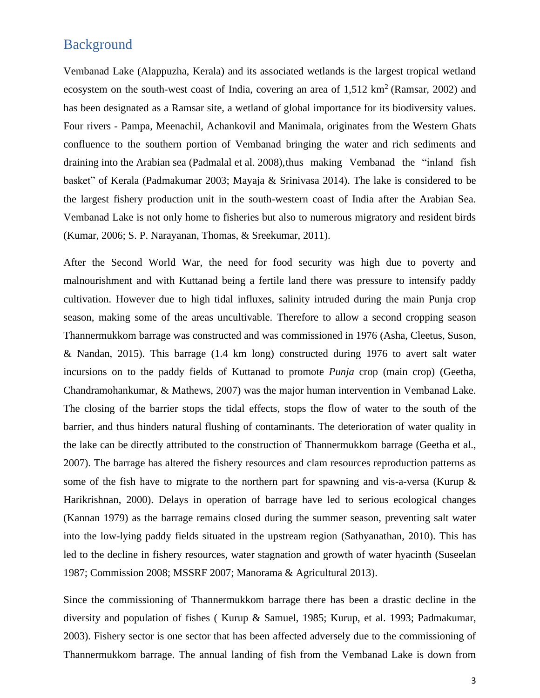### <span id="page-2-0"></span>Background

Vembanad Lake (Alappuzha, Kerala) and its associated wetlands is the largest tropical wetland ecosystem on the south-west coast of India, covering an area of  $1,512 \text{ km}^2$  (Ramsar, 2002) and has been designated as a Ramsar site, a wetland of global importance for its biodiversity values. Four rivers - Pampa, Meenachil, Achankovil and Manimala, originates from the Western Ghats confluence to the southern portion of Vembanad bringing the water and rich sediments and draining into the Arabian sea (Padmalal et al. 2008), thus making Vembanad the "inland fish" basket" of Kerala (Padmakumar 2003; Mayaja & Srinivasa 2014). The lake is considered to be the largest fishery production unit in the south-western coast of India after the Arabian Sea. Vembanad Lake is not only home to fisheries but also to numerous migratory and resident birds (Kumar, 2006; S. P. Narayanan, Thomas, & Sreekumar, 2011).

After the Second World War, the need for food security was high due to poverty and malnourishment and with Kuttanad being a fertile land there was pressure to intensify paddy cultivation. However due to high tidal influxes, salinity intruded during the main Punja crop season, making some of the areas uncultivable. Therefore to allow a second cropping season Thannermukkom barrage was constructed and was commissioned in 1976 (Asha, Cleetus, Suson, & Nandan, 2015). This barrage (1.4 km long) constructed during 1976 to avert salt water incursions on to the paddy fields of Kuttanad to promote *Punja* crop (main crop) (Geetha, Chandramohankumar, & Mathews, 2007) was the major human intervention in Vembanad Lake. The closing of the barrier stops the tidal effects, stops the flow of water to the south of the barrier, and thus hinders natural flushing of contaminants. The deterioration of water quality in the lake can be directly attributed to the construction of Thannermukkom barrage (Geetha et al., 2007). The barrage has altered the fishery resources and clam resources reproduction patterns as some of the fish have to migrate to the northern part for spawning and vis-a-versa (Kurup  $\&$ Harikrishnan, 2000). Delays in operation of barrage have led to serious ecological changes (Kannan 1979) as the barrage remains closed during the summer season, preventing salt water into the low-lying paddy fields situated in the upstream region (Sathyanathan, 2010). This has led to the decline in fishery resources, water stagnation and growth of water hyacinth (Suseelan 1987; Commission 2008; MSSRF 2007; Manorama & Agricultural 2013).

Since the commissioning of Thannermukkom barrage there has been a drastic decline in the diversity and population of fishes ( Kurup & Samuel, 1985; Kurup, et al. 1993; Padmakumar, 2003). Fishery sector is one sector that has been affected adversely due to the commissioning of Thannermukkom barrage. The annual landing of fish from the Vembanad Lake is down from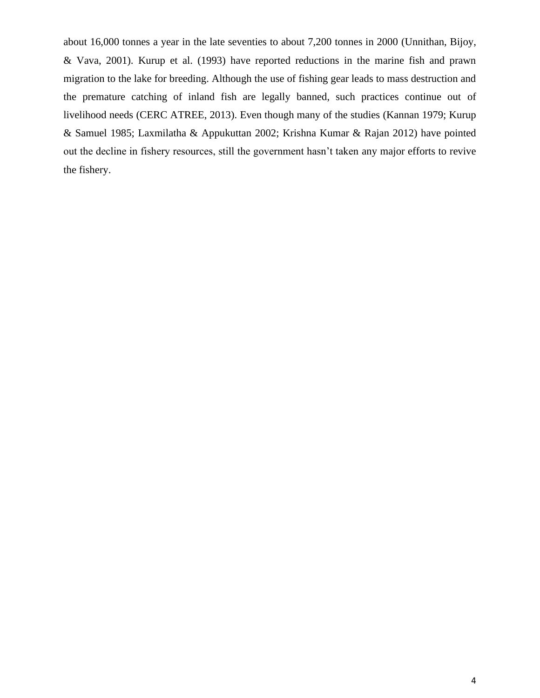about 16,000 tonnes a year in the late seventies to about 7,200 tonnes in 2000 (Unnithan, Bijoy, & Vava, 2001). Kurup et al. (1993) have reported reductions in the marine fish and prawn migration to the lake for breeding. Although the use of fishing gear leads to mass destruction and the premature catching of inland fish are legally banned, such practices continue out of livelihood needs (CERC ATREE, 2013). Even though many of the studies (Kannan 1979; Kurup & Samuel 1985; Laxmilatha & Appukuttan 2002; Krishna Kumar & Rajan 2012) have pointed out the decline in fishery resources, still the government hasn't taken any major efforts to revive the fishery.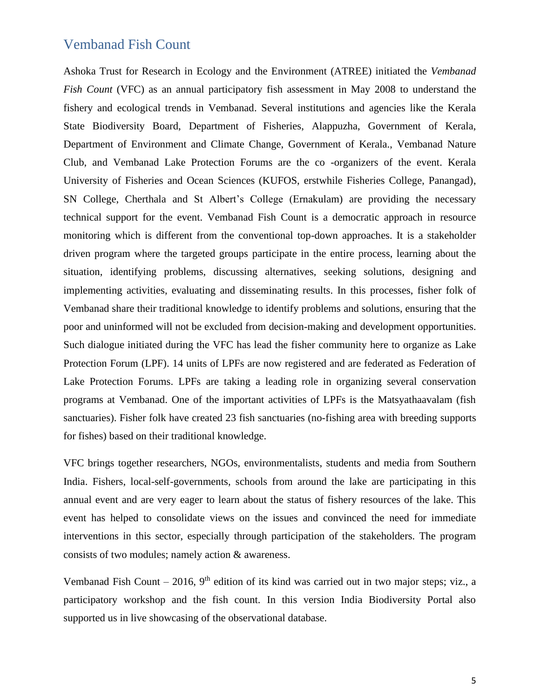### <span id="page-4-0"></span>Vembanad Fish Count

Ashoka Trust for Research in Ecology and the Environment (ATREE) initiated the *Vembanad Fish Count* (VFC) as an annual participatory fish assessment in May 2008 to understand the fishery and ecological trends in Vembanad. Several institutions and agencies like the Kerala State Biodiversity Board, Department of Fisheries, Alappuzha, Government of Kerala, Department of Environment and Climate Change, Government of Kerala., Vembanad Nature Club, and Vembanad Lake Protection Forums are the co -organizers of the event. Kerala University of Fisheries and Ocean Sciences (KUFOS, erstwhile Fisheries College, Panangad), SN College, Cherthala and St Albert's College (Ernakulam) are providing the necessary technical support for the event. Vembanad Fish Count is a democratic approach in resource monitoring which is different from the conventional top-down approaches. It is a stakeholder driven program where the targeted groups participate in the entire process, learning about the situation, identifying problems, discussing alternatives, seeking solutions, designing and implementing activities, evaluating and disseminating results. In this processes, fisher folk of Vembanad share their traditional knowledge to identify problems and solutions, ensuring that the poor and uninformed will not be excluded from decision-making and development opportunities. Such dialogue initiated during the VFC has lead the fisher community here to organize as Lake Protection Forum (LPF). 14 units of LPFs are now registered and are federated as Federation of Lake Protection Forums. LPFs are taking a leading role in organizing several conservation programs at Vembanad. One of the important activities of LPFs is the Matsyathaavalam (fish sanctuaries). Fisher folk have created 23 fish sanctuaries (no-fishing area with breeding supports for fishes) based on their traditional knowledge.

VFC brings together researchers, NGOs, environmentalists, students and media from Southern India. Fishers, local-self-governments, schools from around the lake are participating in this annual event and are very eager to learn about the status of fishery resources of the lake. This event has helped to consolidate views on the issues and convinced the need for immediate interventions in this sector, especially through participation of the stakeholders. The program consists of two modules; namely action & awareness.

Vembanad Fish Count – 2016,  $9<sup>th</sup>$  edition of its kind was carried out in two major steps; viz., a participatory workshop and the fish count. In this version India Biodiversity Portal also supported us in live showcasing of the observational database.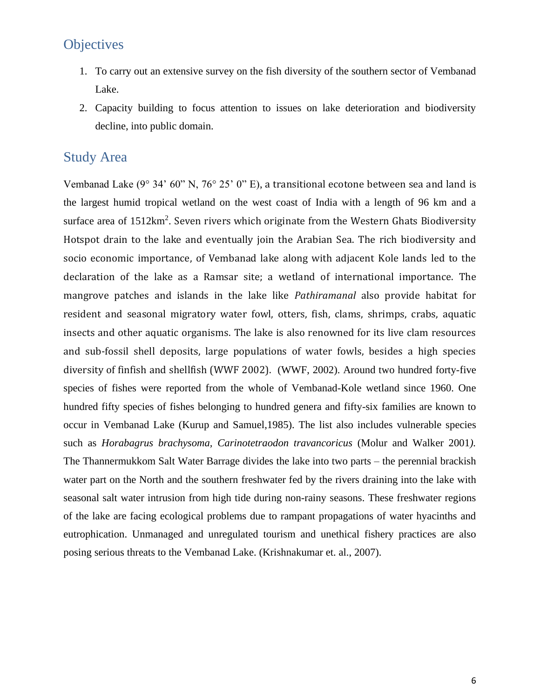## <span id="page-5-0"></span>**Objectives**

- 1. To carry out an extensive survey on the fish diversity of the southern sector of Vembanad Lake.
- 2. Capacity building to focus attention to issues on lake deterioration and biodiversity decline, into public domain.

### <span id="page-5-1"></span>Study Area

Vembanad Lake (9° 34' 60" N, 76° 25' 0" E), a transitional ecotone between sea and land is the largest humid tropical wetland on the west coast of India with a length of 96 km and a surface area of  $1512 \text{km}^2$ . Seven rivers which originate from the Western Ghats Biodiversity Hotspot drain to the lake and eventually join the Arabian Sea. The rich biodiversity and socio economic importance, of Vembanad lake along with adjacent Kole lands led to the declaration of the lake as a Ramsar site; a wetland of international importance. The mangrove patches and islands in the lake like *Pathiramanal* also provide habitat for resident and seasonal migratory water fowl, otters, fish, clams, shrimps, crabs, aquatic insects and other aquatic organisms. The lake is also renowned for its live clam resources and sub-fossil shell deposits, large populations of water fowls, besides a high species diversity of finfish and shellfish (WWF 2002). (WWF, 2002). Around two hundred forty-five species of fishes were reported from the whole of Vembanad-Kole wetland since 1960. One hundred fifty species of fishes belonging to hundred genera and fifty-six families are known to occur in Vembanad Lake (Kurup and Samuel,1985). The list also includes vulnerable species such as *Horabagrus brachysoma, Carinotetraodon travancoricus* (Molur and Walker 2001*).*  The Thannermukkom Salt Water Barrage divides the lake into two parts – the perennial brackish water part on the North and the southern freshwater fed by the rivers draining into the lake with seasonal salt water intrusion from high tide during non-rainy seasons. These freshwater regions of the lake are facing ecological problems due to rampant propagations of water hyacinths and eutrophication. Unmanaged and unregulated tourism and unethical fishery practices are also posing serious threats to the Vembanad Lake. (Krishnakumar et. al., 2007).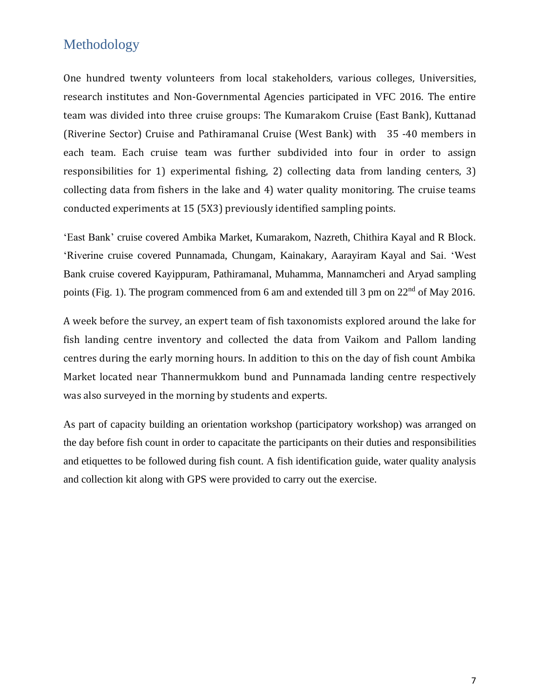## <span id="page-6-0"></span>Methodology

One hundred twenty volunteers from local stakeholders, various colleges, Universities, research institutes and Non-Governmental Agencies participated in VFC 2016. The entire team was divided into three cruise groups: The Kumarakom Cruise (East Bank), Kuttanad (Riverine Sector) Cruise and Pathiramanal Cruise (West Bank) with 35 -40 members in each team. Each cruise team was further subdivided into four in order to assign responsibilities for 1) experimental fishing, 2) collecting data from landing centers, 3) collecting data from fishers in the lake and 4) water quality monitoring. The cruise teams conducted experiments at 15 (5X3) previously identified sampling points.

'East Bank' cruise covered Ambika Market, Kumarakom, Nazreth, Chithira Kayal and R Block. 'Riverine cruise covered Punnamada, Chungam, Kainakary, Aarayiram Kayal and Sai. 'West Bank cruise covered Kayippuram, Pathiramanal, Muhamma, Mannamcheri and Aryad sampling points (Fig. 1). The program commenced from 6 am and extended till 3 pm on 22<sup>nd</sup> of May 2016.

A week before the survey, an expert team of fish taxonomists explored around the lake for fish landing centre inventory and collected the data from Vaikom and Pallom landing centres during the early morning hours. In addition to this on the day of fish count Ambika Market located near Thannermukkom bund and Punnamada landing centre respectively was also surveyed in the morning by students and experts.

As part of capacity building an orientation workshop (participatory workshop) was arranged on the day before fish count in order to capacitate the participants on their duties and responsibilities and etiquettes to be followed during fish count. A fish identification guide, water quality analysis and collection kit along with GPS were provided to carry out the exercise.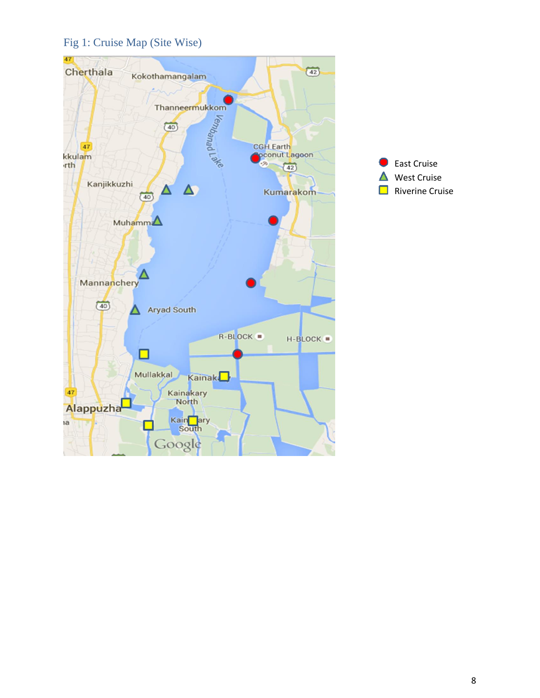### <span id="page-7-0"></span>Fig 1: Cruise Map (Site Wise)



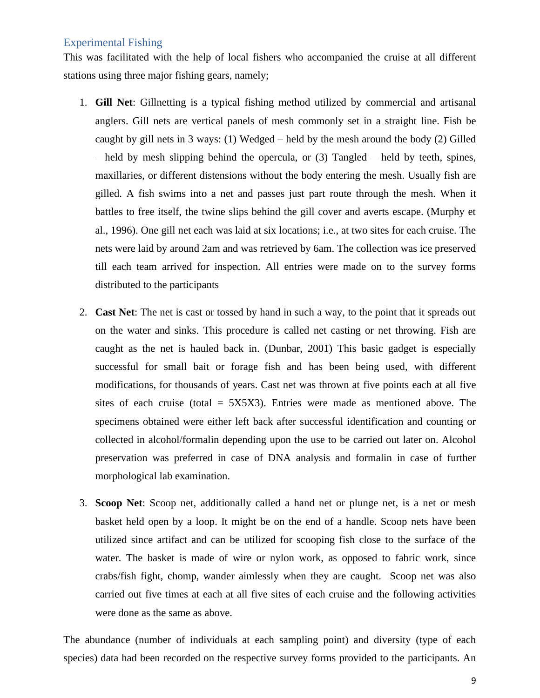#### <span id="page-8-0"></span>Experimental Fishing

This was facilitated with the help of local fishers who accompanied the cruise at all different stations using three major fishing gears, namely;

- 1. **Gill Net**: Gillnetting is a typical fishing method utilized by commercial and artisanal anglers. Gill nets are vertical panels of mesh commonly set in a straight line. Fish be caught by gill nets in 3 ways: (1) Wedged – held by the mesh around the body (2) Gilled – held by mesh slipping behind the opercula, or (3) Tangled – held by teeth, spines, maxillaries, or different distensions without the body entering the mesh. Usually fish are gilled. A fish swims into a net and passes just part route through the mesh. When it battles to free itself, the twine slips behind the gill cover and averts escape. (Murphy et al., 1996). One gill net each was laid at six locations; i.e., at two sites for each cruise. The nets were laid by around 2am and was retrieved by 6am. The collection was ice preserved till each team arrived for inspection. All entries were made on to the survey forms distributed to the participants
- 2. **Cast Net**: The net is cast or tossed by hand in such a way, to the point that it spreads out on the water and sinks. This procedure is called net casting or net throwing. Fish are caught as the net is hauled back in. (Dunbar, 2001) This basic gadget is especially successful for small bait or forage fish and has been being used, with different modifications, for thousands of years. Cast net was thrown at five points each at all five sites of each cruise (total  $=$  5X5X3). Entries were made as mentioned above. The specimens obtained were either left back after successful identification and counting or collected in alcohol/formalin depending upon the use to be carried out later on. Alcohol preservation was preferred in case of DNA analysis and formalin in case of further morphological lab examination.
- 3. **Scoop Net**: Scoop net, additionally called a hand net or plunge net, is a net or mesh basket held open by a loop. It might be on the end of a handle. Scoop nets have been utilized since artifact and can be utilized for scooping fish close to the surface of the water. The basket is made of wire or nylon work, as opposed to fabric work, since crabs/fish fight, chomp, wander aimlessly when they are caught. Scoop net was also carried out five times at each at all five sites of each cruise and the following activities were done as the same as above.

The abundance (number of individuals at each sampling point) and diversity (type of each species) data had been recorded on the respective survey forms provided to the participants. An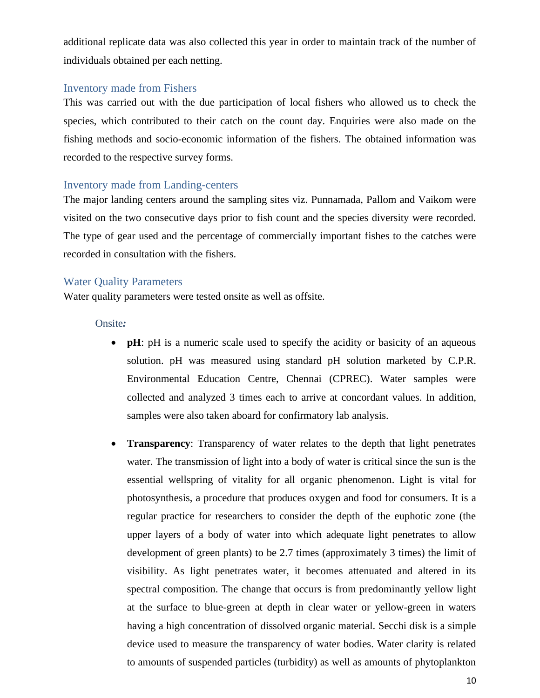additional replicate data was also collected this year in order to maintain track of the number of individuals obtained per each netting.

#### <span id="page-9-0"></span>Inventory made from Fishers

This was carried out with the due participation of local fishers who allowed us to check the species, which contributed to their catch on the count day. Enquiries were also made on the fishing methods and socio-economic information of the fishers. The obtained information was recorded to the respective survey forms.

#### <span id="page-9-1"></span>Inventory made from Landing-centers

The major landing centers around the sampling sites viz. Punnamada, Pallom and Vaikom were visited on the two consecutive days prior to fish count and the species diversity were recorded. The type of gear used and the percentage of commercially important fishes to the catches were recorded in consultation with the fishers.

#### <span id="page-9-2"></span>Water Quality Parameters

Water quality parameters were tested onsite as well as offsite.

#### <span id="page-9-3"></span>Onsite*:*

- **pH**: pH is a numeric scale used to specify the acidity or basicity of an aqueous solution. pH was measured using standard pH solution marketed by C.P.R. Environmental Education Centre, Chennai (CPREC). Water samples were collected and analyzed 3 times each to arrive at concordant values. In addition, samples were also taken aboard for confirmatory lab analysis.
- **Transparency**: Transparency of water relates to the depth that light penetrates water. The transmission of light into a body of water is critical since the sun is the essential wellspring of vitality for all organic phenomenon. Light is vital for photosynthesis, a procedure that produces oxygen and food for consumers. It is a regular practice for researchers to consider the depth of the euphotic zone (the upper layers of a body of water into which adequate light penetrates to allow development of green plants) to be 2.7 times (approximately 3 times) the limit of visibility. As light penetrates water, it becomes attenuated and altered in its spectral composition. The change that occurs is from predominantly yellow light at the surface to blue-green at depth in clear water or yellow-green in waters having a high concentration of dissolved organic material. Secchi disk is a simple device used to measure the transparency of water bodies. Water clarity is related to amounts of suspended particles (turbidity) as well as amounts of phytoplankton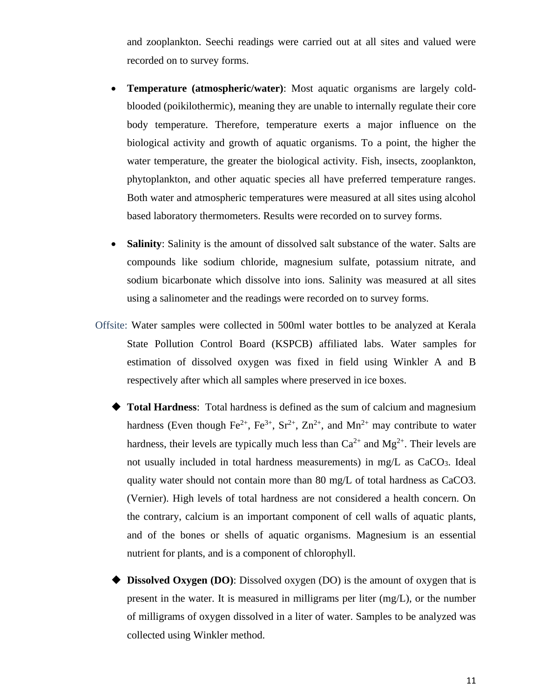and zooplankton. Seechi readings were carried out at all sites and valued were recorded on to survey forms.

- **Temperature (atmospheric/water)**: Most aquatic organisms are largely coldblooded (poikilothermic), meaning they are unable to internally regulate their core body temperature. Therefore, temperature exerts a major influence on the biological activity and growth of aquatic organisms. To a point, the higher the water temperature, the greater the biological activity. Fish, insects, zooplankton, phytoplankton, and other aquatic species all have preferred temperature ranges. Both water and atmospheric temperatures were measured at all sites using alcohol based laboratory thermometers. Results were recorded on to survey forms.
- **Salinity**: Salinity is the amount of dissolved salt substance of the water. Salts are compounds like sodium chloride, magnesium sulfate, potassium nitrate, and sodium bicarbonate which dissolve into ions. Salinity was measured at all sites using a salinometer and the readings were recorded on to survey forms.
- <span id="page-10-0"></span>Offsite: Water samples were collected in 500ml water bottles to be analyzed at Kerala State Pollution Control Board (KSPCB) affiliated labs. Water samples for estimation of dissolved oxygen was fixed in field using Winkler A and B respectively after which all samples where preserved in ice boxes.
	- **Total Hardness**: Total hardness is defined as the sum of calcium and magnesium hardness (Even though Fe<sup>2+</sup>, Fe<sup>3+</sup>, Sr<sup>2+</sup>, Zn<sup>2+</sup>, and Mn<sup>2+</sup> may contribute to water hardness, their levels are typically much less than  $Ca^{2+}$  and  $Mg^{2+}$ . Their levels are not usually included in total hardness measurements) in mg/L as CaCO<sub>3</sub>. Ideal quality water should not contain more than 80 mg/L of total hardness as CaCO3. (Vernier). High levels of total hardness are not considered a health concern. On the contrary, calcium is an important component of cell walls of aquatic plants, and of the bones or shells of aquatic organisms. Magnesium is an essential nutrient for plants, and is a component of chlorophyll.
	- **Dissolved Oxygen (DO)**: Dissolved oxygen (DO) is the amount of oxygen that is present in the water. It is measured in milligrams per liter (mg/L), or the number of milligrams of oxygen dissolved in a liter of water. Samples to be analyzed was collected using Winkler method.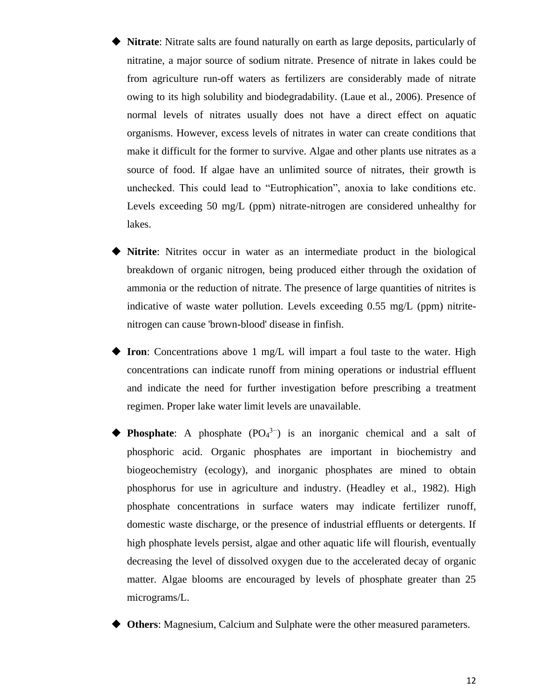- **Nitrate**: Nitrate salts are found naturally on earth as large deposits, particularly of nitratine, a major source of sodium nitrate. Presence of nitrate in lakes could be from agriculture run-off waters as fertilizers are considerably made of nitrate owing to its high solubility and biodegradability. (Laue et al., 2006). Presence of normal levels of nitrates usually does not have a direct effect on aquatic organisms. However, excess levels of nitrates in water can create conditions that make it difficult for the former to survive. Algae and other plants use nitrates as a source of food. If algae have an unlimited source of nitrates, their growth is unchecked. This could lead to "Eutrophication", anoxia to lake conditions etc. Levels exceeding 50 mg/L (ppm) nitrate-nitrogen are considered unhealthy for lakes.
- ◆ **Nitrite**: Nitrites occur in water as an intermediate product in the biological breakdown of organic nitrogen, being produced either through the oxidation of ammonia or the reduction of nitrate. The presence of large quantities of nitrites is indicative of waste water pollution. Levels exceeding 0.55 mg/L (ppm) nitritenitrogen can cause 'brown-blood' disease in finfish.
- **Iron**: Concentrations above 1 mg/L will impart a foul taste to the water. High concentrations can indicate runoff from mining operations or industrial effluent and indicate the need for further investigation before prescribing a treatment regimen. Proper lake water limit levels are unavailable.
- ◆ **Phosphate**: A phosphate (PO<sup>4</sup> 3−) is an inorganic chemical and a salt of phosphoric acid. Organic phosphates are important in biochemistry and biogeochemistry (ecology), and inorganic phosphates are mined to obtain phosphorus for use in agriculture and industry. (Headley et al., 1982). High phosphate concentrations in surface waters may indicate fertilizer runoff, domestic waste discharge, or the presence of industrial effluents or detergents. If high phosphate levels persist, algae and other aquatic life will flourish, eventually decreasing the level of dissolved oxygen due to the accelerated decay of organic matter. Algae blooms are encouraged by levels of phosphate greater than 25 micrograms/L.
- ◆ **Others**: Magnesium, Calcium and Sulphate were the other measured parameters.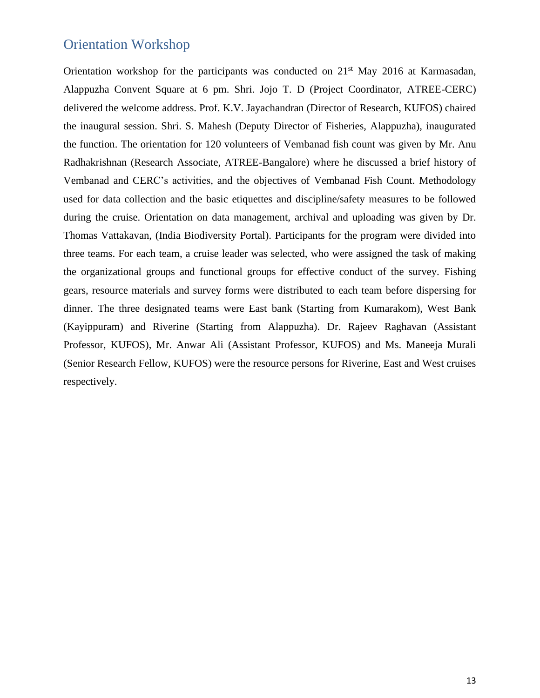### <span id="page-12-0"></span>Orientation Workshop

Orientation workshop for the participants was conducted on  $21<sup>st</sup>$  May 2016 at Karmasadan, Alappuzha Convent Square at 6 pm. Shri. Jojo T. D (Project Coordinator, ATREE-CERC) delivered the welcome address. Prof. K.V. Jayachandran (Director of Research, KUFOS) chaired the inaugural session. Shri. S. Mahesh (Deputy Director of Fisheries, Alappuzha), inaugurated the function. The orientation for 120 volunteers of Vembanad fish count was given by Mr. Anu Radhakrishnan (Research Associate, ATREE-Bangalore) where he discussed a brief history of Vembanad and CERC's activities, and the objectives of Vembanad Fish Count. Methodology used for data collection and the basic etiquettes and discipline/safety measures to be followed during the cruise. Orientation on data management, archival and uploading was given by Dr. Thomas Vattakavan, (India Biodiversity Portal). Participants for the program were divided into three teams. For each team, a cruise leader was selected, who were assigned the task of making the organizational groups and functional groups for effective conduct of the survey. Fishing gears, resource materials and survey forms were distributed to each team before dispersing for dinner. The three designated teams were East bank (Starting from Kumarakom), West Bank (Kayippuram) and Riverine (Starting from Alappuzha). Dr. Rajeev Raghavan (Assistant Professor, KUFOS), Mr. Anwar Ali (Assistant Professor, KUFOS) and Ms. Maneeja Murali (Senior Research Fellow, KUFOS) were the resource persons for Riverine, East and West cruises respectively.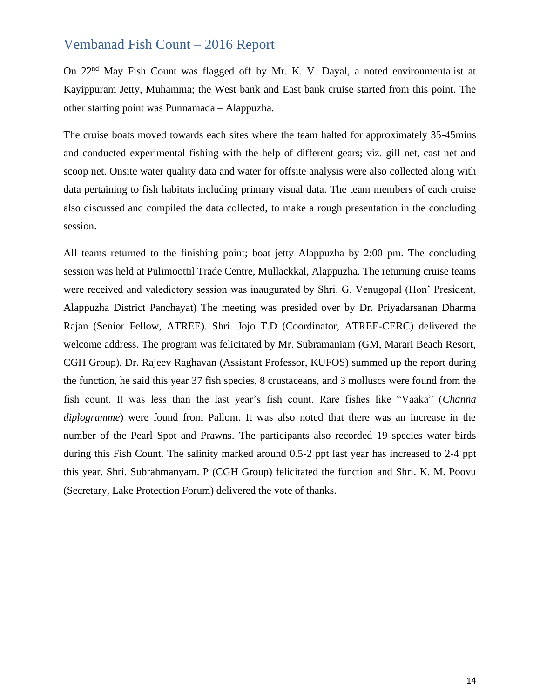### <span id="page-13-0"></span>Vembanad Fish Count – 2016 Report

On 22nd May Fish Count was flagged off by Mr. K. V. Dayal, a noted environmentalist at Kayippuram Jetty, Muhamma; the West bank and East bank cruise started from this point. The other starting point was Punnamada – Alappuzha.

The cruise boats moved towards each sites where the team halted for approximately 35-45mins and conducted experimental fishing with the help of different gears; viz. gill net, cast net and scoop net. Onsite water quality data and water for offsite analysis were also collected along with data pertaining to fish habitats including primary visual data. The team members of each cruise also discussed and compiled the data collected, to make a rough presentation in the concluding session.

All teams returned to the finishing point; boat jetty Alappuzha by 2:00 pm. The concluding session was held at Pulimoottil Trade Centre, Mullackkal, Alappuzha. The returning cruise teams were received and valedictory session was inaugurated by Shri. G. Venugopal (Hon' President, Alappuzha District Panchayat) The meeting was presided over by Dr. Priyadarsanan Dharma Rajan (Senior Fellow, ATREE). Shri. Jojo T.D (Coordinator, ATREE-CERC) delivered the welcome address. The program was felicitated by Mr. Subramaniam (GM, Marari Beach Resort, CGH Group). Dr. Rajeev Raghavan (Assistant Professor, KUFOS) summed up the report during the function, he said this year 37 fish species, 8 crustaceans, and 3 molluscs were found from the fish count. It was less than the last year's fish count. Rare fishes like "Vaaka" (*Channa diplogramme*) were found from Pallom. It was also noted that there was an increase in the number of the Pearl Spot and Prawns. The participants also recorded 19 species water birds during this Fish Count. The salinity marked around 0.5-2 ppt last year has increased to 2-4 ppt this year. Shri. Subrahmanyam. P (CGH Group) felicitated the function and Shri. K. M. Poovu (Secretary, Lake Protection Forum) delivered the vote of thanks.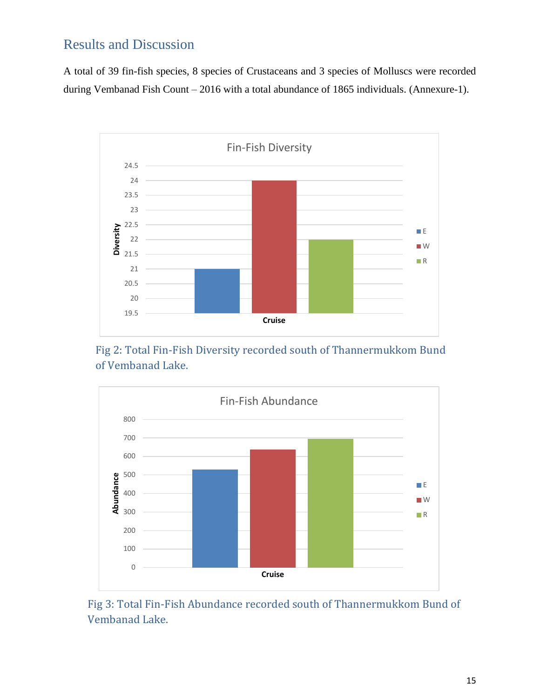# <span id="page-14-0"></span>Results and Discussion

A total of 39 fin-fish species, 8 species of Crustaceans and 3 species of Molluscs were recorded during Vembanad Fish Count – 2016 with a total abundance of 1865 individuals. (Annexure-1).



Fig 2: Total Fin-Fish Diversity recorded south of Thannermukkom Bund of Vembanad Lake.



Fig 3: Total Fin-Fish Abundance recorded south of Thannermukkom Bund of Vembanad Lake.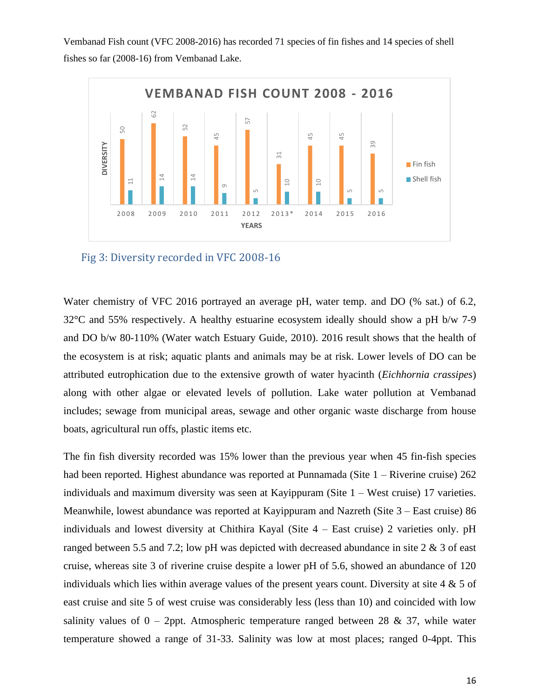Vembanad Fish count (VFC 2008-2016) has recorded 71 species of fin fishes and 14 species of shell fishes so far (2008-16) from Vembanad Lake.



Fig 3: Diversity recorded in VFC 2008-16

Water chemistry of VFC 2016 portrayed an average pH, water temp. and DO (% sat.) of 6.2, 32°C and 55% respectively. A healthy estuarine ecosystem ideally should show a pH b/w 7-9 and DO b/w 80-110% (Water watch Estuary Guide, 2010). 2016 result shows that the health of the ecosystem is at risk; aquatic plants and animals may be at risk. Lower levels of DO can be attributed eutrophication due to the extensive growth of water hyacinth (*Eichhornia crassipes*) along with other algae or elevated levels of pollution. Lake water pollution at Vembanad includes; sewage from municipal areas, sewage and other organic waste discharge from house boats, agricultural run offs, plastic items etc.

The fin fish diversity recorded was 15% lower than the previous year when 45 fin-fish species had been reported. Highest abundance was reported at Punnamada (Site 1 – Riverine cruise) 262 individuals and maximum diversity was seen at Kayippuram (Site 1 – West cruise) 17 varieties. Meanwhile, lowest abundance was reported at Kayippuram and Nazreth (Site 3 – East cruise) 86 individuals and lowest diversity at Chithira Kayal (Site 4 – East cruise) 2 varieties only. pH ranged between 5.5 and 7.2; low pH was depicted with decreased abundance in site 2 & 3 of east cruise, whereas site 3 of riverine cruise despite a lower pH of 5.6, showed an abundance of 120 individuals which lies within average values of the present years count. Diversity at site 4 & 5 of east cruise and site 5 of west cruise was considerably less (less than 10) and coincided with low salinity values of  $0 - 2$ ppt. Atmospheric temperature ranged between 28 & 37, while water **Example 1.**<br> **Example 2.**<br> **Example 2.**<br> **Example 2.**<br> **Example 2.**<br> **Example 2.**<br> **Example 2.**<br> **Example 2.**<br> **Example 2.**<br> **Example 3.**<br> **Example 3.**<br> **Example 3.**<br> **Example 3.**<br> **Example 3.**<br> **Example 3.**<br> **Example 3.**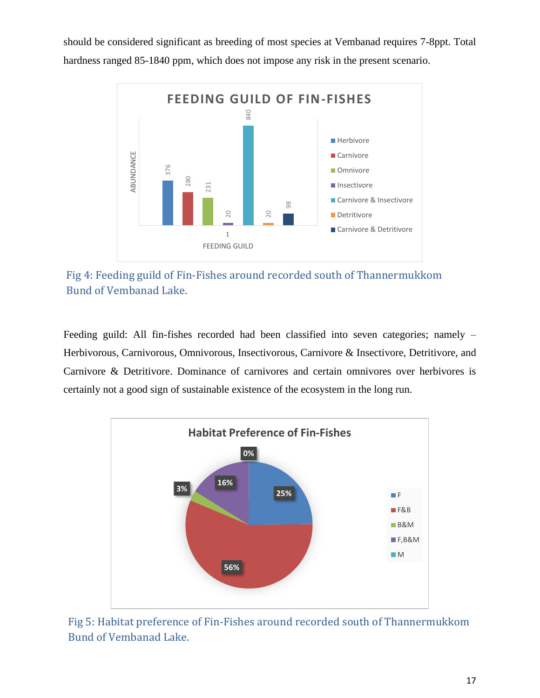should be considered significant as breeding of most species at Vembanad requires 7-8ppt. Total hardness ranged 85-1840 ppm, which does not impose any risk in the present scenario.



Fig 4: Feeding guild of Fin-Fishes around recorded south of Thannermukkom Bund of Vembanad Lake.

Feeding guild: All fin-fishes recorded had been classified into seven categories; namely – Herbivorous, Carnivorous, Omnivorous, Insectivorous, Carnivore & Insectivore, Detritivore, and Carnivore & Detritivore. Dominance of carnivores and certain omnivores over herbivores is



<span id="page-16-0"></span>Fig 5: Habitat preference of Fin-Fishes around recorded south of Thannermukkom Bund of Vembanad Lake.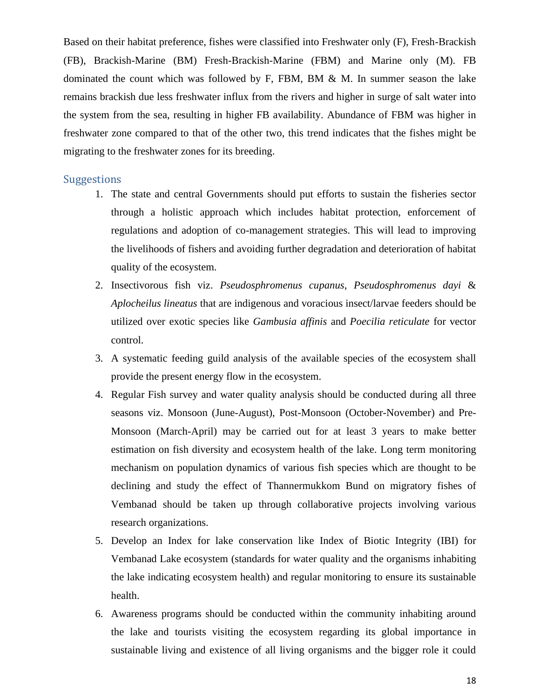Based on their habitat preference, fishes were classified into Freshwater only (F), Fresh-Brackish (FB), Brackish-Marine (BM) Fresh-Brackish-Marine (FBM) and Marine only (M). FB dominated the count which was followed by F, FBM, BM & M. In summer season the lake remains brackish due less freshwater influx from the rivers and higher in surge of salt water into the system from the sea, resulting in higher FB availability. Abundance of FBM was higher in freshwater zone compared to that of the other two, this trend indicates that the fishes might be migrating to the freshwater zones for its breeding.

#### <span id="page-17-0"></span>**Suggestions**

- 1. The state and central Governments should put efforts to sustain the fisheries sector through a holistic approach which includes habitat protection, enforcement of regulations and adoption of co-management strategies. This will lead to improving the livelihoods of fishers and avoiding further degradation and deterioration of habitat quality of the ecosystem.
- 2. Insectivorous fish viz. *Pseudosphromenus cupanus*, *Pseudosphromenus dayi* & *Aplocheilus lineatus* that are indigenous and voracious insect/larvae feeders should be utilized over exotic species like *Gambusia affinis* and *Poecilia reticulate* for vector control.
- 3. A systematic feeding guild analysis of the available species of the ecosystem shall provide the present energy flow in the ecosystem.
- 4. Regular Fish survey and water quality analysis should be conducted during all three seasons viz. Monsoon (June-August), Post-Monsoon (October-November) and Pre-Monsoon (March-April) may be carried out for at least 3 years to make better estimation on fish diversity and ecosystem health of the lake. Long term monitoring mechanism on population dynamics of various fish species which are thought to be declining and study the effect of Thannermukkom Bund on migratory fishes of Vembanad should be taken up through collaborative projects involving various research organizations.
- 5. Develop an Index for lake conservation like Index of Biotic Integrity (IBI) for Vembanad Lake ecosystem (standards for water quality and the organisms inhabiting the lake indicating ecosystem health) and regular monitoring to ensure its sustainable health.
- 6. Awareness programs should be conducted within the community inhabiting around the lake and tourists visiting the ecosystem regarding its global importance in sustainable living and existence of all living organisms and the bigger role it could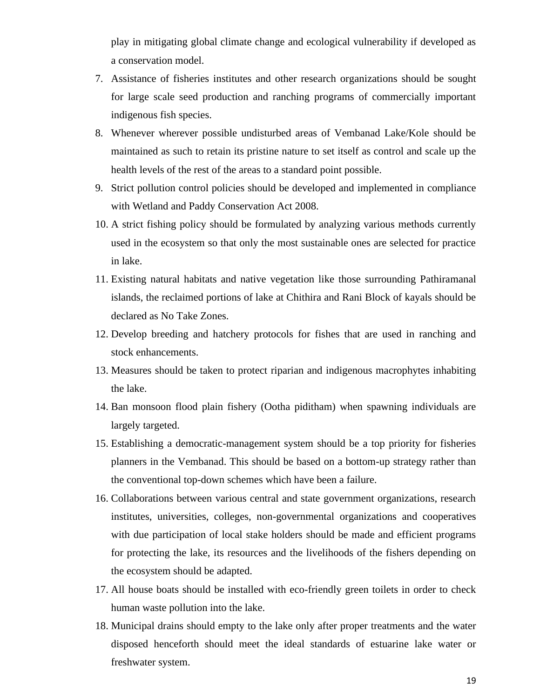play in mitigating global climate change and ecological vulnerability if developed as a conservation model.

- 7. Assistance of fisheries institutes and other research organizations should be sought for large scale seed production and ranching programs of commercially important indigenous fish species.
- 8. Whenever wherever possible undisturbed areas of Vembanad Lake/Kole should be maintained as such to retain its pristine nature to set itself as control and scale up the health levels of the rest of the areas to a standard point possible.
- 9. Strict pollution control policies should be developed and implemented in compliance with Wetland and Paddy Conservation Act 2008.
- 10. A strict fishing policy should be formulated by analyzing various methods currently used in the ecosystem so that only the most sustainable ones are selected for practice in lake.
- 11. Existing natural habitats and native vegetation like those surrounding Pathiramanal islands, the reclaimed portions of lake at Chithira and Rani Block of kayals should be declared as No Take Zones.
- 12. Develop breeding and hatchery protocols for fishes that are used in ranching and stock enhancements.
- 13. Measures should be taken to protect riparian and indigenous macrophytes inhabiting the lake.
- 14. Ban monsoon flood plain fishery (Ootha piditham) when spawning individuals are largely targeted.
- 15. Establishing a democratic-management system should be a top priority for fisheries planners in the Vembanad. This should be based on a bottom-up strategy rather than the conventional top-down schemes which have been a failure.
- 16. Collaborations between various central and state government organizations, research institutes, universities, colleges, non-governmental organizations and cooperatives with due participation of local stake holders should be made and efficient programs for protecting the lake, its resources and the livelihoods of the fishers depending on the ecosystem should be adapted.
- 17. All house boats should be installed with eco-friendly green toilets in order to check human waste pollution into the lake.
- 18. Municipal drains should empty to the lake only after proper treatments and the water disposed henceforth should meet the ideal standards of estuarine lake water or freshwater system.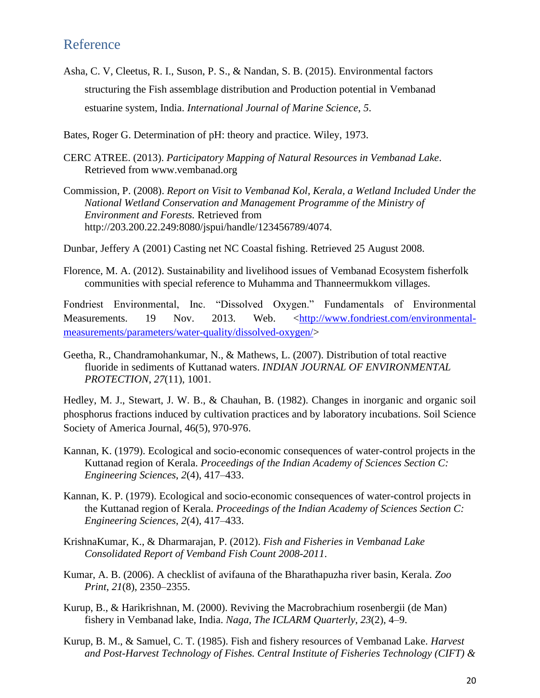### <span id="page-19-0"></span>Reference

- Asha, C. V, Cleetus, R. I., Suson, P. S., & Nandan, S. B. (2015). Environmental factors structuring the Fish assemblage distribution and Production potential in Vembanad estuarine system, India. *International Journal of Marine Science*, *5*.
- Bates, Roger G. Determination of pH: theory and practice. Wiley, 1973.
- CERC ATREE. (2013). *Participatory Mapping of Natural Resources in Vembanad Lake*. Retrieved from www.vembanad.org
- Commission, P. (2008). *Report on Visit to Vembanad Kol, Kerala, a Wetland Included Under the National Wetland Conservation and Management Programme of the Ministry of Environment and Forests.* Retrieved from http://203.200.22.249:8080/jspui/handle/123456789/4074.
- Dunbar, Jeffery A (2001) Casting net NC Coastal fishing. Retrieved 25 August 2008.
- Florence, M. A. (2012). Sustainability and livelihood issues of Vembanad Ecosystem fisherfolk communities with special reference to Muhamma and Thanneermukkom villages.

Fondriest Environmental, Inc. "Dissolved Oxygen." Fundamentals of Environmental Measurements. 19 Nov. 2013. Web. [<http://www.fondriest.com/environmental](http://www.fondriest.com/environmental-measurements/parameters/water-quality/dissolved-oxygen/)[measurements/parameters/water-quality/dissolved-oxygen/>](http://www.fondriest.com/environmental-measurements/parameters/water-quality/dissolved-oxygen/)

Geetha, R., Chandramohankumar, N., & Mathews, L. (2007). Distribution of total reactive fluoride in sediments of Kuttanad waters. *INDIAN JOURNAL OF ENVIRONMENTAL PROTECTION*, *27*(11), 1001.

Hedley, M. J., Stewart, J. W. B., & Chauhan, B. (1982). Changes in inorganic and organic soil phosphorus fractions induced by cultivation practices and by laboratory incubations. Soil Science Society of America Journal, 46(5), 970-976.

- Kannan, K. (1979). Ecological and socio-economic consequences of water-control projects in the Kuttanad region of Kerala. *Proceedings of the Indian Academy of Sciences Section C: Engineering Sciences*, *2*(4), 417–433.
- Kannan, K. P. (1979). Ecological and socio-economic consequences of water-control projects in the Kuttanad region of Kerala. *Proceedings of the Indian Academy of Sciences Section C: Engineering Sciences*, *2*(4), 417–433.
- KrishnaKumar, K., & Dharmarajan, P. (2012). *Fish and Fisheries in Vembanad Lake Consolidated Report of Vemband Fish Count 2008-2011*.
- Kumar, A. B. (2006). A checklist of avifauna of the Bharathapuzha river basin, Kerala. *Zoo Print*, *21*(8), 2350–2355.
- Kurup, B., & Harikrishnan, M. (2000). Reviving the Macrobrachium rosenbergii (de Man) fishery in Vembanad lake, India. *Naga, The ICLARM Quarterly*, *23*(2), 4–9.
- Kurup, B. M., & Samuel, C. T. (1985). Fish and fishery resources of Vembanad Lake. *Harvest and Post-Harvest Technology of Fishes. Central Institute of Fisheries Technology (CIFT) &*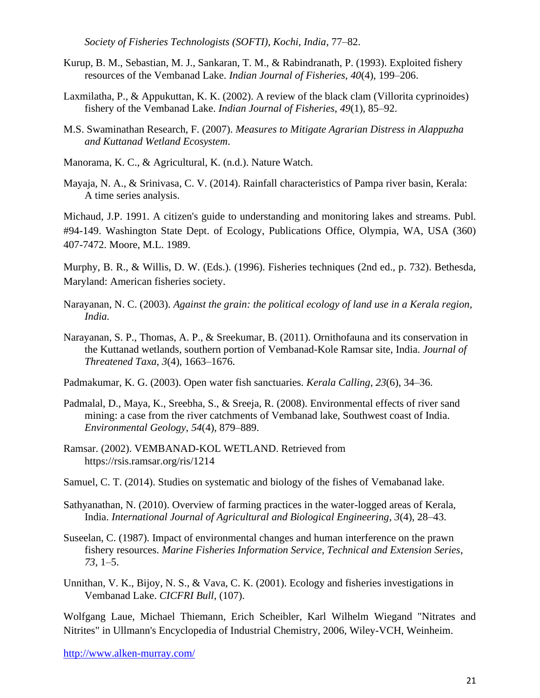*Society of Fisheries Technologists (SOFTI), Kochi, India*, 77–82.

- Kurup, B. M., Sebastian, M. J., Sankaran, T. M., & Rabindranath, P. (1993). Exploited fishery resources of the Vembanad Lake. *Indian Journal of Fisheries*, *40*(4), 199–206.
- Laxmilatha, P., & Appukuttan, K. K. (2002). A review of the black clam (Villorita cyprinoides) fishery of the Vembanad Lake. *Indian Journal of Fisheries*, *49*(1), 85–92.
- M.S. Swaminathan Research, F. (2007). *Measures to Mitigate Agrarian Distress in Alappuzha and Kuttanad Wetland Ecosystem*.
- Manorama, K. C., & Agricultural, K. (n.d.). Nature Watch.
- Mayaja, N. A., & Srinivasa, C. V. (2014). Rainfall characteristics of Pampa river basin, Kerala: A time series analysis.

Michaud, J.P. 1991. A citizen's guide to understanding and monitoring lakes and streams. Publ. #94-149. Washington State Dept. of Ecology, Publications Office, Olympia, WA, USA (360) 407-7472. Moore, M.L. 1989.

Murphy, B. R., & Willis, D. W. (Eds.). (1996). Fisheries techniques (2nd ed., p. 732). Bethesda, Maryland: American fisheries society.

- Narayanan, N. C. (2003). *Against the grain: the political ecology of land use in a Kerala region, India.*
- Narayanan, S. P., Thomas, A. P., & Sreekumar, B. (2011). Ornithofauna and its conservation in the Kuttanad wetlands, southern portion of Vembanad-Kole Ramsar site, India. *Journal of Threatened Taxa*, *3*(4), 1663–1676.
- Padmakumar, K. G. (2003). Open water fish sanctuaries. *Kerala Calling*, *23*(6), 34–36.
- Padmalal, D., Maya, K., Sreebha, S., & Sreeja, R. (2008). Environmental effects of river sand mining: a case from the river catchments of Vembanad lake, Southwest coast of India. *Environmental Geology*, *54*(4), 879–889.
- Ramsar. (2002). VEMBANAD-KOL WETLAND. Retrieved from https://rsis.ramsar.org/ris/1214
- Samuel, C. T. (2014). Studies on systematic and biology of the fishes of Vemabanad lake.
- Sathyanathan, N. (2010). Overview of farming practices in the water-logged areas of Kerala, India. *International Journal of Agricultural and Biological Engineering*, *3*(4), 28–43.
- Suseelan, C. (1987). Impact of environmental changes and human interference on the prawn fishery resources. *Marine Fisheries Information Service, Technical and Extension Series*, *73*, 1–5.
- Unnithan, V. K., Bijoy, N. S., & Vava, C. K. (2001). Ecology and fisheries investigations in Vembanad Lake. *CICFRI Bull*, (107).

Wolfgang Laue, Michael Thiemann, Erich Scheibler, Karl Wilhelm Wiegand "Nitrates and Nitrites" in Ullmann's Encyclopedia of Industrial Chemistry, 2006, Wiley-VCH, Weinheim.

<http://www.alken-murray.com/>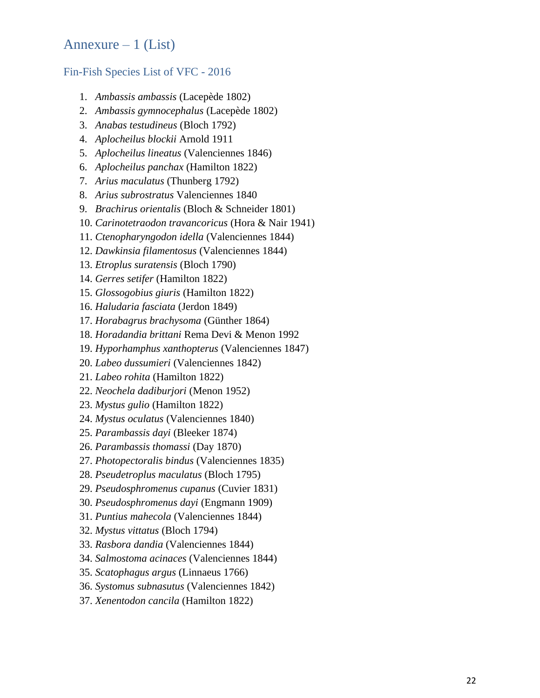## <span id="page-21-0"></span>Annexure  $-1$  (List)

#### <span id="page-21-1"></span>Fin-Fish Species List of VFC - 2016

- 1. *Ambassis ambassis* (Lacepède 1802)
- 2. *Ambassis gymnocephalus* (Lacepède 1802)
- 3. *Anabas testudineus* (Bloch 1792)
- 4. *Aplocheilus blockii* Arnold 1911
- 5. *Aplocheilus lineatus* (Valenciennes 1846)
- 6. *Aplocheilus panchax* (Hamilton 1822)
- 7. *Arius maculatus* (Thunberg 1792)
- 8. *Arius subrostratus* Valenciennes 1840
- 9. *Brachirus orientalis* (Bloch & Schneider 1801)
- 10. *Carinotetraodon travancoricus* (Hora & Nair 1941)
- 11. *Ctenopharyngodon idella* (Valenciennes 1844)
- 12. *Dawkinsia filamentosus* (Valenciennes 1844)
- 13. *Etroplus suratensis* (Bloch 1790)
- 14. *Gerres setifer* (Hamilton 1822)
- 15. *Glossogobius giuris* (Hamilton 1822)
- 16. *Haludaria fasciata* (Jerdon 1849)
- 17. *Horabagrus brachysoma* (Günther 1864)
- 18. *Horadandia brittani* Rema Devi & Menon 1992
- 19. *Hyporhamphus xanthopterus* (Valenciennes 1847)
- 20. *Labeo dussumieri* (Valenciennes 1842)
- 21. *Labeo rohita* (Hamilton 1822)
- 22. *Neochela dadiburjori* (Menon 1952)
- 23. *Mystus gulio* (Hamilton 1822)
- 24. *Mystus oculatus* (Valenciennes 1840)
- 25. *Parambassis dayi* (Bleeker 1874)
- 26. *Parambassis thomassi* (Day 1870)
- 27. *Photopectoralis bindus* (Valenciennes 1835)
- 28. *Pseudetroplus maculatus* (Bloch 1795)
- 29. *Pseudosphromenus cupanus* (Cuvier 1831)
- 30. *Pseudosphromenus dayi* (Engmann 1909)
- 31. *Puntius mahecola* (Valenciennes 1844)
- 32. *Mystus vittatus* (Bloch 1794)
- 33. *Rasbora dandia* (Valenciennes 1844)
- 34. *Salmostoma acinaces* (Valenciennes 1844)
- 35. *Scatophagus argus* (Linnaeus 1766)
- 36. *Systomus subnasutus* (Valenciennes 1842)
- 37. *Xenentodon cancila* (Hamilton 1822)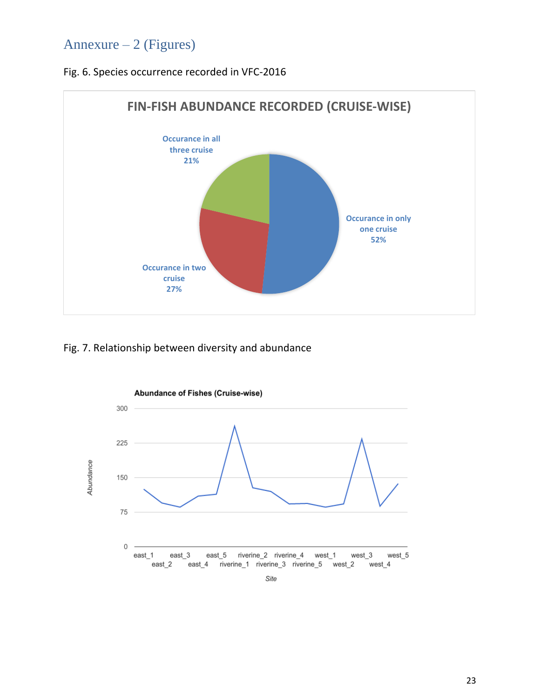# <span id="page-22-0"></span>Annexure – 2 (Figures)

Fig. 6. Species occurrence recorded in VFC-2016



Fig. 7. Relationship between diversity and abundance



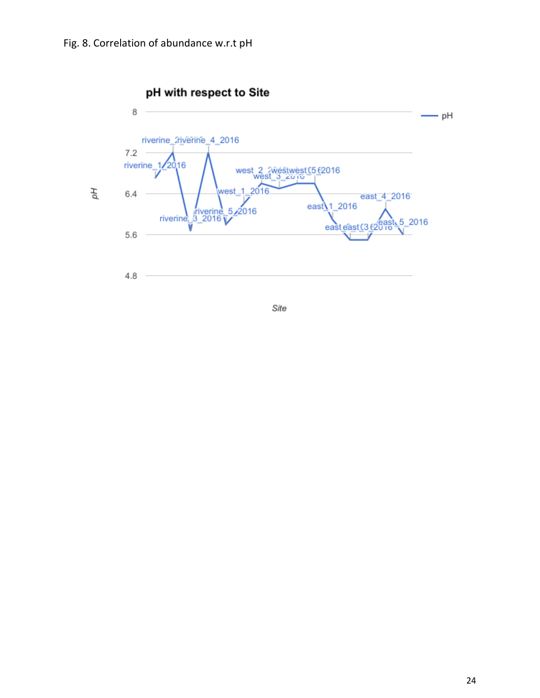

Site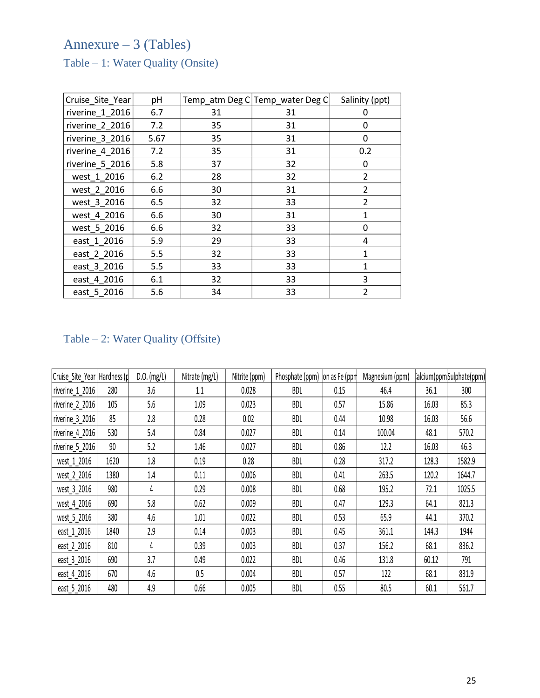# <span id="page-24-0"></span>Annexure – 3 (Tables)

<span id="page-24-1"></span>Table – 1: Water Quality (Onsite)

| Cruise_Site_Year | pH   |    | Temp_atm Deg C Temp_water Deg C | Salinity (ppt) |
|------------------|------|----|---------------------------------|----------------|
| riverine_1_2016  | 6.7  | 31 | 31                              | 0              |
| riverine 2 2016  | 7.2  | 35 | 31                              | 0              |
| riverine 3_2016  | 5.67 | 35 | 31                              | 0              |
| riverine 4_2016  | 7.2  | 35 | 31                              | 0.2            |
| riverine_5_2016  | 5.8  | 37 | 32                              | 0              |
| west 1 2016      | 6.2  | 28 | 32                              | 2              |
| west 2 2016      | 6.6  | 30 | 31                              | $\overline{2}$ |
| west 3 2016      | 6.5  | 32 | 33                              | $\overline{2}$ |
| west 4 2016      | 6.6  | 30 | 31                              | $\mathbf{1}$   |
| west_5_2016      | 6.6  | 32 | 33                              | 0              |
| east 1 2016      | 5.9  | 29 | 33                              | 4              |
| east 2 2016      | 5.5  | 32 | 33                              | $\mathbf{1}$   |
| east_3_2016      | 5.5  | 33 | 33                              | 1              |
| east_4_2016      | 6.1  | 32 | 33                              | 3              |
| east 5 2016      | 5.6  | 34 | 33                              | $\overline{2}$ |

# <span id="page-24-2"></span>Table – 2: Water Quality (Offsite)

| Cruise Site Year Hardness (p    |      | $D.0.$ (mg/L) | Nitrate (mg/L) | Nitrite (ppm) | Phosphate (ppm) | on as Fe (ppm | Magnesium (ppm) |       | calcium(ppm Sulphate(ppm) |
|---------------------------------|------|---------------|----------------|---------------|-----------------|---------------|-----------------|-------|---------------------------|
| riverine $12016$                | 280  | 3.6           | 1.1            | 0.028         | <b>BDL</b>      | 0.15          | 46.4            | 36.1  | 300                       |
| $ \text{riverine}\_2$ _2016 $ $ | 105  | 5.6           | 1.09           | 0.023         | <b>BDL</b>      | 0.57          | 15.86           | 16.03 | 85.3                      |
| riverine $3$ 2016               | 85   | 2.8           | 0.28           | 0.02          | <b>BDL</b>      | 0.44          | 10.98           | 16.03 | 56.6                      |
| riverine 4 2016                 | 530  | 5.4           | 0.84           | 0.027         | <b>BDL</b>      | 0.14          | 100.04          | 48.1  | 570.2                     |
| riverine_5_2016                 | 90   | 5.2           | 1.46           | 0.027         | <b>BDL</b>      | 0.86          | 12.2            | 16.03 | 46.3                      |
| west_1_2016                     | 1620 | 1.8           | 0.19           | 0.28          | <b>BDL</b>      | 0.28          | 317.2           | 128.3 | 1582.9                    |
| west 2 2016                     | 1380 | 1.4           | 0.11           | 0.006         | <b>BDL</b>      | 0.41          | 263.5           | 120.2 | 1644.7                    |
| west_3_2016                     | 980  | 4             | 0.29           | 0.008         | <b>BDL</b>      | 0.68          | 195.2           | 72.1  | 1025.5                    |
| west_4_2016                     | 690  | 5.8           | 0.62           | 0.009         | <b>BDL</b>      | 0.47          | 129.3           | 64.1  | 821.3                     |
| west 5 2016                     | 380  | 4.6           | 1.01           | 0.022         | <b>BDL</b>      | 0.53          | 65.9            | 44.1  | 370.2                     |
| east_1_2016                     | 1840 | 2.9           | 0.14           | 0.003         | <b>BDL</b>      | 0.45          | 361.1           | 144.3 | 1944                      |
| east 2 2016                     | 810  | 4             | 0.39           | 0.003         | <b>BDL</b>      | 0.37          | 156.2           | 68.1  | 836.2                     |
| east_3_2016                     | 690  | 3.7           | 0.49           | 0.022         | <b>BDL</b>      | 0.46          | 131.8           | 60.12 | 791                       |
| east_4_2016                     | 670  | 4.6           | 0.5            | 0.004         | <b>BDL</b>      | 0.57          | 122             | 68.1  | 831.9                     |
| east 5 2016                     | 480  | 4.9           | 0.66           | 0.005         | <b>BDL</b>      | 0.55          | 80.5            | 60.1  | 561.7                     |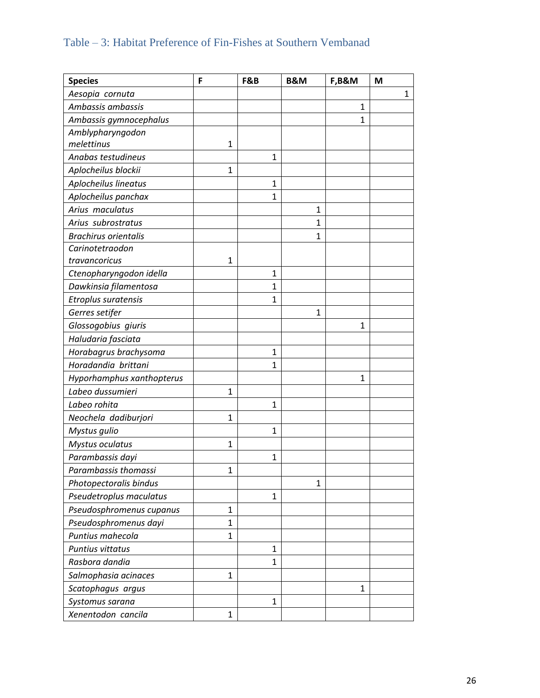# <span id="page-25-0"></span>Table – 3: Habitat Preference of Fin-Fishes at Southern Vembanad

| <b>Species</b>              | F            | F&B          | B&M | F,B&M        | M            |
|-----------------------------|--------------|--------------|-----|--------------|--------------|
| Aesopia cornuta             |              |              |     |              | $\mathbf{1}$ |
| Ambassis ambassis           |              |              |     | 1            |              |
| Ambassis gymnocephalus      |              |              |     | $\mathbf{1}$ |              |
| Amblypharyngodon            |              |              |     |              |              |
| melettinus                  | 1            |              |     |              |              |
| Anabas testudineus          |              | 1            |     |              |              |
| Aplocheilus blockii         | 1            |              |     |              |              |
| Aplocheilus lineatus        |              | $\mathbf{1}$ |     |              |              |
| Aplocheilus panchax         |              | $\mathbf{1}$ |     |              |              |
| Arius maculatus             |              |              | 1   |              |              |
| Arius subrostratus          |              |              | 1   |              |              |
| <b>Brachirus orientalis</b> |              |              | 1   |              |              |
| Carinotetraodon             |              |              |     |              |              |
| travancoricus               | 1            |              |     |              |              |
| Ctenopharyngodon idella     |              | 1            |     |              |              |
| Dawkinsia filamentosa       |              | $\mathbf{1}$ |     |              |              |
| Etroplus suratensis         |              | 1            |     |              |              |
| Gerres setifer              |              |              | 1   |              |              |
| Glossogobius giuris         |              |              |     | 1            |              |
| Haludaria fasciata          |              |              |     |              |              |
| Horabagrus brachysoma       |              | 1            |     |              |              |
| Horadandia brittani         |              | $\mathbf{1}$ |     |              |              |
| Hyporhamphus xanthopterus   |              |              |     | 1            |              |
| Labeo dussumieri            | $\mathbf{1}$ |              |     |              |              |
| Labeo rohita                |              | 1            |     |              |              |
| Neochela dadiburjori        | $\mathbf{1}$ |              |     |              |              |
| Mystus gulio                |              | $\mathbf{1}$ |     |              |              |
| Mystus oculatus             | 1            |              |     |              |              |
| Parambassis dayi            |              | $\mathbf{1}$ |     |              |              |
| Parambassis thomassi        | $\mathbf 1$  |              |     |              |              |
| Photopectoralis bindus      |              |              | 1   |              |              |
| Pseudetroplus maculatus     |              | 1            |     |              |              |
| Pseudosphromenus cupanus    | $\mathbf{1}$ |              |     |              |              |
| Pseudosphromenus dayi       | $\mathbf{1}$ |              |     |              |              |
| Puntius mahecola            | 1            |              |     |              |              |
| Puntius vittatus            |              | 1            |     |              |              |
| Rasbora dandia              |              | 1            |     |              |              |
| Salmophasia acinaces        | 1            |              |     |              |              |
| Scatophagus argus           |              |              |     | 1            |              |
| Systomus sarana             |              | 1            |     |              |              |
| Xenentodon cancila          | 1            |              |     |              |              |